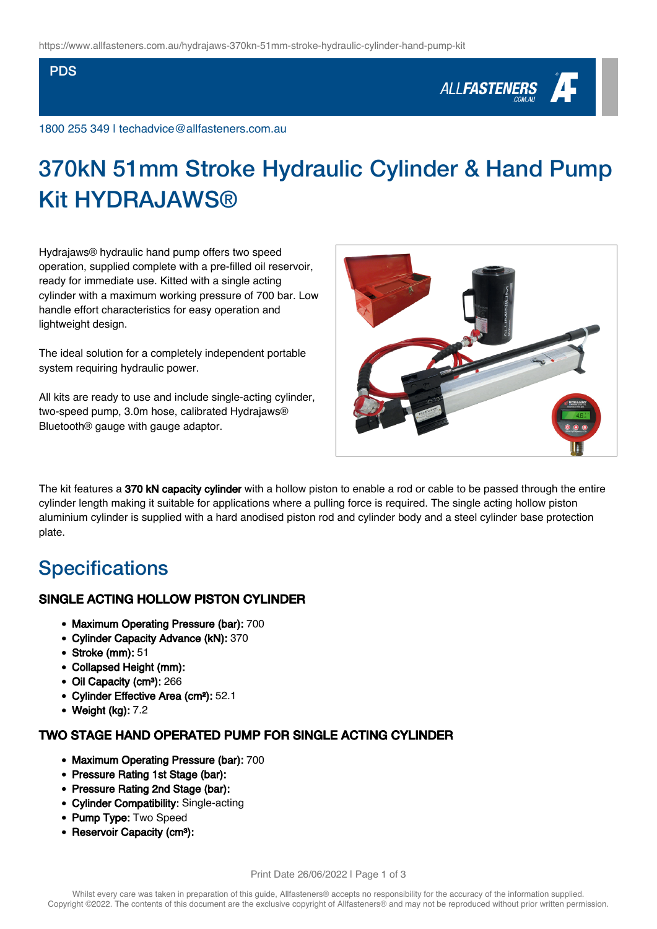#### PDS

# ALL**FASTENERS**

1800 255 349 | techadvice@allfasteners.com.au

# 370kN 51mm Stroke Hydraulic Cylinder & Hand Pump **Kit HYDRA.IAWS®**

Hydrajaws® hydraulic hand pump offers two speed operation, supplied complete with a pre-filled oil reservoir, ready for immediate use. Kitted with a single acting cylinder with a maximum working pressure of 700 bar. Low handle effort characteristics for easy operation and lightweight design.

The ideal solution for a completely independent portable system requiring hydraulic power.

All kits are ready to use and include single-acting cylinder, two-speed pump, 3.0m hose, calibrated Hydrajaws® Bluetooth® gauge with gauge adaptor.



The kit features a 370 kN capacity cylinder with a hollow piston to enable a rod or cable to be passed through the entire cylinder length making it suitable for applications where a pulling force is required. The single acting hollow piston aluminium cylinder is supplied with a hard anodised piston rod and cylinder body and a steel cylinder base protection plate.

## **Specifications**

### SINGLE ACTING HOLLOW PISTON CYLINDER

- Maximum Operating Pressure (bar): 700
- Cylinder Capacity Advance (kN): 370
- Stroke (mm): 51
- Collapsed Height (mm):
- Oil Capacity (cm<sup>3</sup>): 266
- Cylinder Effective Area (cm²): 52.1
- Weight (kg): 7.2

### TWO STAGE HAND OPERATED PUMP FOR SINGLE ACTING CYLINDER

- Maximum Operating Pressure (bar): 700
- Pressure Rating 1st Stage (bar):
- Pressure Rating 2nd Stage (bar):
- Cylinder Compatibility: Single-acting
- Pump Type: Two Speed
- Reservoir Capacity (cm<sup>3</sup>):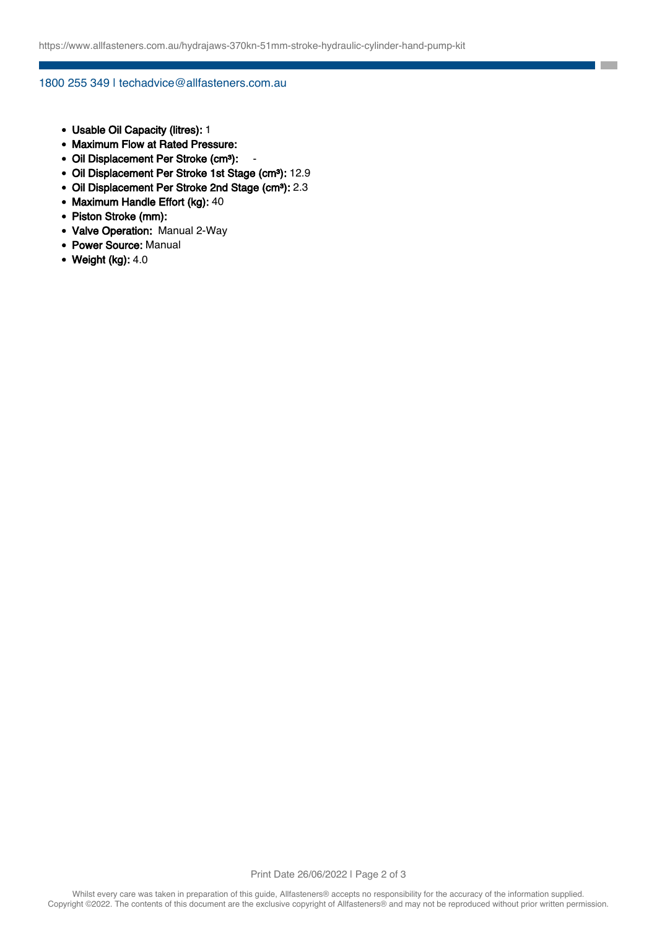**College** 

#### 1800 255 349 | techadvice@allfasteners.com.au

- Usable Oil Capacity (litres): 1
- Maximum Flow at Rated Pressure:
- Oil Displacement Per Stroke (cm<sup>3</sup>):
- Oil Displacement Per Stroke 1st Stage (cm<sup>3</sup>): 12.9
- Oil Displacement Per Stroke 2nd Stage (cm<sup>3</sup>): 2.3
- Maximum Handle Effort (kg): 40
- Piston Stroke (mm):
- Valve Operation: Manual 2-Way
- Power Source: Manual
- $\bullet$  Weight (kg): 4.0